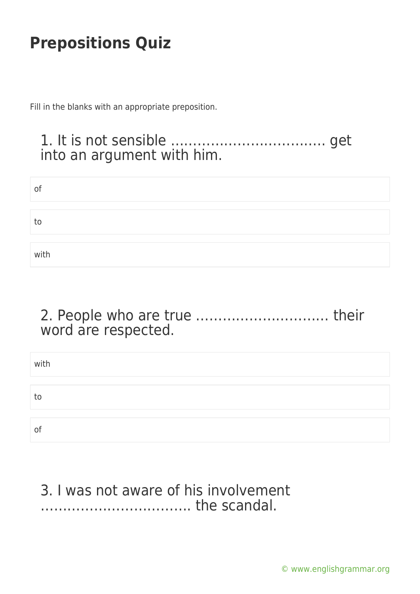Fill in the blanks with an appropriate preposition.

### 1. It is not sensible …………………………….. get into an argument with him.

| O <sub>1</sub> |  |  |
|----------------|--|--|
|                |  |  |
| to             |  |  |
|                |  |  |
| with           |  |  |

### 2. People who are true ………………………… their word are respected.

| with |  |
|------|--|
|      |  |
| to   |  |
|      |  |
| of   |  |

#### 3. I was not aware of his involvement ……………………………. the scandal.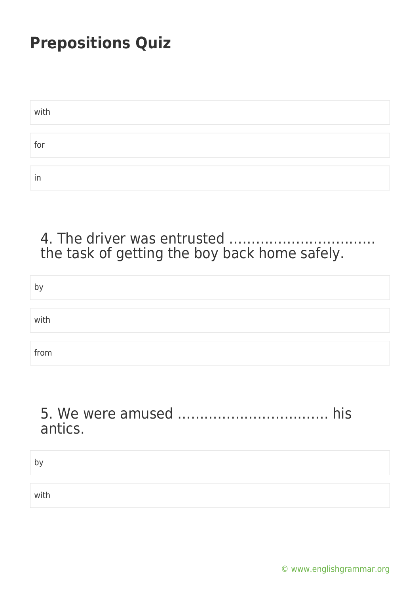| with |  |
|------|--|
|      |  |
| for  |  |
|      |  |
| In   |  |

#### 4. The driver was entrusted …………………………… the task of getting the boy back home safely.

| by   |  |  |  |
|------|--|--|--|
|      |  |  |  |
| with |  |  |  |
|      |  |  |  |
| from |  |  |  |

### 5. We were amused ……………………………. his antics.

| by   |  |
|------|--|
|      |  |
| with |  |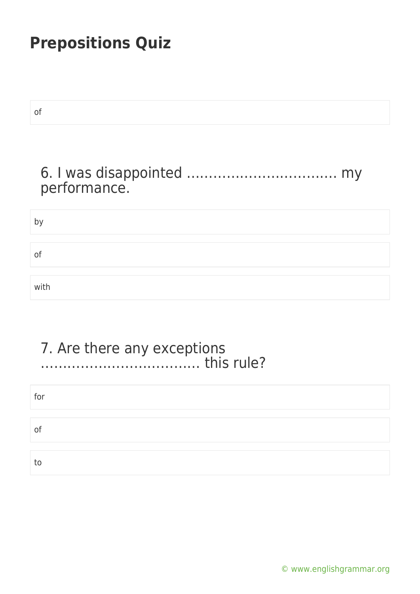| of           |
|--------------|
|              |
| performance. |
| by           |
| of           |
| with         |
|              |
|              |

#### 7. Are there any exceptions ……………………………… this rule?

| for |  |  |
|-----|--|--|
|     |  |  |
| of  |  |  |
|     |  |  |
| to  |  |  |

[© www.englishgrammar.org](https://www.englishgrammar.org/)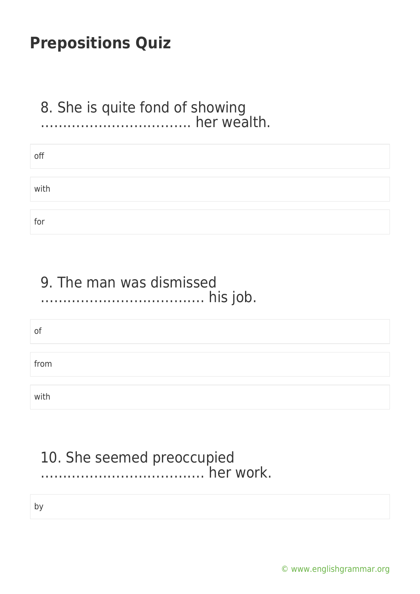#### 8. She is quite fond of showing ……………………………. her wealth.

| off  |  |
|------|--|
|      |  |
| with |  |
|      |  |
| for  |  |

### 9. The man was dismissed ………………………………. his job.

of

from

with

### 10. She seemed preoccupied ………………………………. her work.

by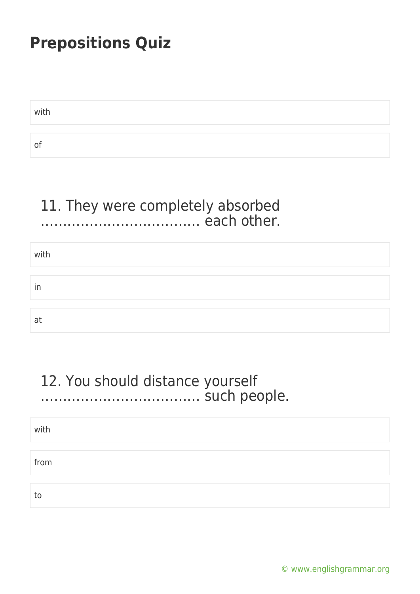with

of

### 11. They were completely absorbed ……………………………… each other.

| with |  |
|------|--|
|      |  |
| in   |  |
|      |  |
| at   |  |

### 12. You should distance yourself ……………………………… such people.

with

from

to